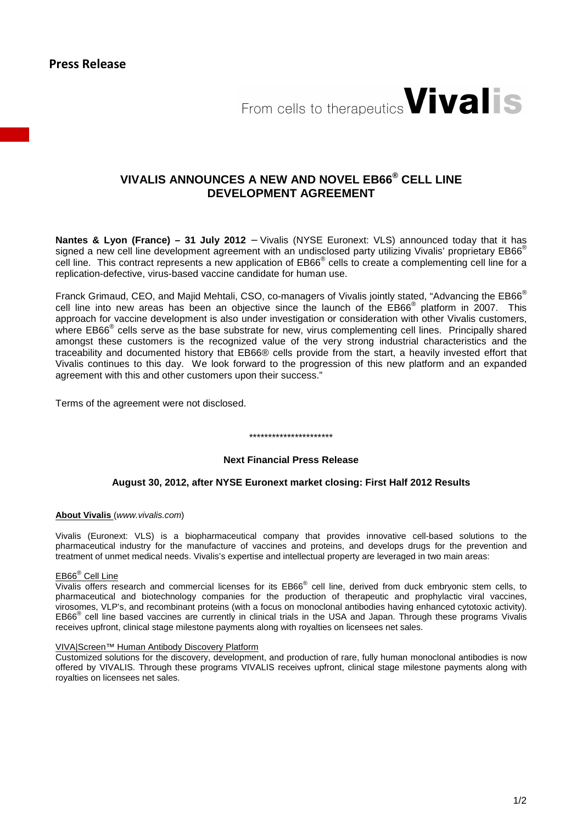

# **VIVALIS ANNOUNCES A NEW AND NOVEL EB66® CELL LINE DEVELOPMENT AGREEMENT**

**Nantes & Lyon (France) – 31 July 2012** – Vivalis (NYSE Euronext: VLS) announced today that it has signed a new cell line development agreement with an undisclosed party utilizing Vivalis' proprietary EB66<sup>®</sup> cell line. This contract represents a new application of EB66<sup>®</sup> cells to create a complementing cell line for a replication-defective, virus-based vaccine candidate for human use.

Franck Grimaud, CEO, and Majid Mehtali, CSO, co-managers of Vivalis jointly stated, "Advancing the EB66<sup>®</sup> cell line into new areas has been an objective since the launch of the EB66<sup>®</sup> platform in 2007. This approach for vaccine development is also under investigation or consideration with other Vivalis customers, where EB66<sup>®</sup> cells serve as the base substrate for new, virus complementing cell lines. Principally shared amongst these customers is the recognized value of the very strong industrial characteristics and the traceability and documented history that EB66® cells provide from the start, a heavily invested effort that Vivalis continues to this day. We look forward to the progression of this new platform and an expanded agreement with this and other customers upon their success."

Terms of the agreement were not disclosed.

## **Next Financial Press Release**

\*\*\*\*\*\*\*\*\*\*\*\*\*\*\*\*\*\*\*\*\*\*

## **August 30, 2012, after NYSE Euronext market closing: First Half 2012 Results**

#### **About Vivalis** (www.vivalis.com)

Vivalis (Euronext: VLS) is a biopharmaceutical company that provides innovative cell-based solutions to the pharmaceutical industry for the manufacture of vaccines and proteins, and develops drugs for the prevention and treatment of unmet medical needs. Vivalis's expertise and intellectual property are leveraged in two main areas:

#### EB66® Cell Line

Vivalis offers research and commercial licenses for its EB66<sup>®</sup> cell line, derived from duck embryonic stem cells, to pharmaceutical and biotechnology companies for the production of therapeutic and prophylactic viral vaccines, virosomes, VLP's, and recombinant proteins (with a focus on monoclonal antibodies having enhanced cytotoxic activity). EB66<sup>®</sup> cell line based vaccines are currently in clinical trials in the USA and Japan. Through these programs Vivalis receives upfront, clinical stage milestone payments along with royalties on licensees net sales.

#### VIVA|Screen™ Human Antibody Discovery Platform

Customized solutions for the discovery, development, and production of rare, fully human monoclonal antibodies is now offered by VIVALIS. Through these programs VIVALIS receives upfront, clinical stage milestone payments along with royalties on licensees net sales.